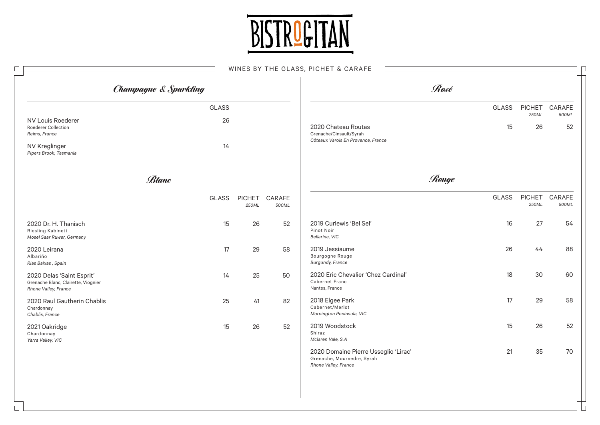

## WINES BY THE GLASS, BIGHET  $6.64$

|                                                                                          |                                  |                        |                 | WINES BY THE GLASS, PICHET & CARAFE                                                        |       |              |                        |                 |
|------------------------------------------------------------------------------------------|----------------------------------|------------------------|-----------------|--------------------------------------------------------------------------------------------|-------|--------------|------------------------|-----------------|
|                                                                                          | <b>Champagne &amp; Sparkling</b> |                        |                 |                                                                                            | Rosé  |              |                        |                 |
|                                                                                          | <b>GLASS</b>                     |                        |                 |                                                                                            |       | <b>GLASS</b> | <b>PICHET</b>          | CARAFE          |
| NV Louis Roederer<br>Roederer Collection<br>Reims, France<br>NV Kreglinger               | 26<br>14                         |                        |                 | 2020 Chateau Routas<br>Grenache/Cinsault/Syrah<br>Côteaux Varois En Provence, France       |       | 15           | 250ML<br>26            | 500ML<br>52     |
| Pipers Brook, Tasmania                                                                   | Blanc                            |                        |                 |                                                                                            | Rouge |              |                        |                 |
|                                                                                          | <b>GLASS</b>                     | <b>PICHET</b><br>250ML | CARAFE<br>500ML |                                                                                            |       | <b>GLASS</b> | <b>PICHET</b><br>250ML | CARAFE<br>500ML |
| 2020 Dr. H. Thanisch<br>Riesling Kabinett<br>Mosel Saar Ruwer, Germany                   | 15                               | 26                     | 52              | 2019 Curlewis 'Bel Sel'<br>Pinot Noir<br>Bellarine, VIC                                    |       | 16           | 27                     | 54              |
| 2020 Leirana<br>Albariño<br>Rias Baixas, Spain                                           | 17                               | 29                     | 58              | 2019 Jessiaume<br>Bourgogne Rouge<br><b>Burgundy, France</b>                               |       | 26           | 44                     | 88              |
| 2020 Delas 'Saint Esprit'<br>Grenache Blanc, Clairette, Viognier<br>Rhone Valley, France | 14                               | 25                     | 50              | 2020 Eric Chevalier 'Chez Cardinal'<br>Cabernet Franc<br>Nantes, France                    |       | 18           | 30                     | 60              |
| 2020 Raul Gautherin Chablis<br>Chardonnay<br>Chablis, France                             | 25                               | 41                     | 82              | 2018 Elgee Park<br>Cabernet/Merlot<br>Mornington Peninsula, VIC                            |       | 17           | 29                     | 58              |
| 2021 Oakridge<br>Chardonnay<br>Yarra Valley, VIC                                         | 15                               | 26                     | 52              | 2019 Woodstock<br>Shiraz<br>Mclaren Vale, S.A                                              |       | 15           | 26                     | 52              |
|                                                                                          |                                  |                        |                 | 2020 Domaine Pierre Usseglio 'Lirac'<br>Grenache, Mourvedre, Syrah<br>Rhone Valley, France |       | 21           | 35                     | 70              |
|                                                                                          |                                  |                        |                 |                                                                                            |       |              |                        |                 |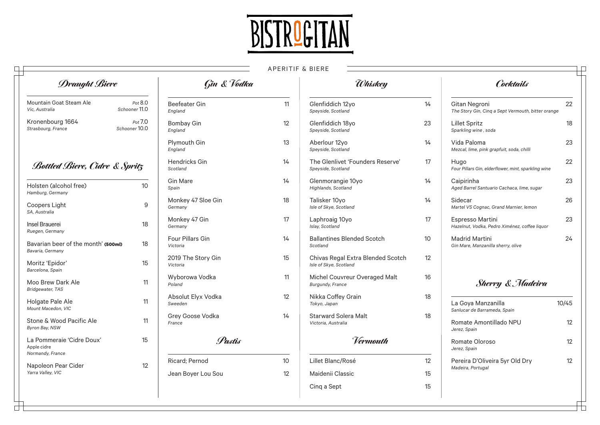

## APERITIF & BIERE

| <b>Draught Biere</b>                                    |                          | <b>Gin &amp; Vodka</b>          |    | <i><b><i><u><del>Ohiskey</del></u></i></b></i>              |    | Cocktails                                                           |       |
|---------------------------------------------------------|--------------------------|---------------------------------|----|-------------------------------------------------------------|----|---------------------------------------------------------------------|-------|
| Mountain Goat Steam Ale<br>Vic. Australia               | Pot 8.0<br>Schooner 11.0 | <b>Beefeater Gin</b><br>England | 11 | Glenfiddich 12yo<br>Speyside, Scotland                      | 14 | Gitan Negroni<br>The Story Gin, Cinq a Sept Vermouth, bitter orange | 22    |
| Kronenbourg 1664<br>Strasbourg, France                  | Pot 7.0<br>Schooner 10.0 | <b>Bombay Gin</b><br>England    | 12 | Glenfiddich 18yo<br>Speyside, Scotland                      | 23 | Lillet Spritz<br>Sparkling wine, soda                               | 18    |
|                                                         |                          | Plymouth Gin<br>England         | 13 | Aberlour 12yo<br>Speyside, Scotland                         | 14 | Vida Paloma<br>Mezcal, lime, pink grapfuit, soda, chilli            | 23    |
| <b>Bottled Biere, Cidre &amp; Spritz</b>                |                          | Hendricks Gin<br>Scotland       | 14 | The Glenlivet 'Founders Reserve'<br>Speyside, Scotland      | 17 | Hugo<br>Four Pillars Gin, elderflower, mint, sparkling wine         | 22    |
| Holsten (alcohol free)<br>Hamburg, Germany              | 10                       | <b>Gin Mare</b><br>Spain        | 14 | Glenmorangie 10yo<br>Highlands, Scotland                    | 14 | Caipirinha<br>Aged Barrel Santuario Cachaca, lime, sugar            | 23    |
| Coopers Light<br>SA, Australia                          | 9                        | Monkey 47 Sloe Gin<br>Germany   | 18 | Talisker 10yo<br>Isle of Skye, Scotland                     | 14 | Sidecar<br>Martel VS Cognac, Grand Marnier, lemon                   | 26    |
| Insel Brauerei<br>Ruegen, Germany                       | 18                       | Monkey 47 Gin<br>Germany        | 17 | Laphroaig 10yo<br>Islay, Scotland                           | 17 | Espresso Martini<br>Hazelnut, Vodka, Pedro Ximénez, coffee liquor   | 23    |
| Bavarian beer of the month' (500ml)<br>Bavaria, Germany | 18                       | Four Pillars Gin<br>Victoria    | 14 | <b>Ballantines Blended Scotch</b><br>Scotland               | 10 | <b>Madrid Martini</b><br>Gin Mare, Manzanilla sherry, olive         | 24    |
| Moritz 'Epidor'<br>Barcelona, Spain                     | 15                       | 2019 The Story Gin<br>Victoria  | 15 | Chivas Regal Extra Blended Scotch<br>Isle of Skye, Scotland | 12 |                                                                     |       |
| Moo Brew Dark Ale<br>Bridgewater, TAS                   | 11                       | Wyborowa Vodka<br>Poland        | 11 | Michel Couvreur Overaged Malt<br>Burgundy, France           | 16 | <b>Sherry &amp; Madeira</b>                                         |       |
| Holgate Pale Ale<br>Mount Macedon, VIC                  | 11                       | Absolut Elyx Vodka<br>Sweeden   | 12 | Nikka Coffey Grain<br>Tokyo, Japan                          | 18 | La Goya Manzanilla<br>Sanlucar de Barrameda, Spain                  | 10/45 |
| Stone & Wood Pacific Ale<br>Byron Bay, NSW              | 11                       | Grey Goose Vodka<br>France      | 14 | <b>Starward Solera Malt</b><br>Victoria, Australia          | 18 | Romate Amontillado NPU<br>Jerez, Spain                              | 12    |
| La Pommeraie 'Cidre Doux'<br>Apple cidre                | 15                       | Pastis                          |    | Vermouth                                                    |    | Romate Oloroso<br>Jerez, Spain                                      | 12    |
| Normandy, France<br>Napoleon Pear Cider                 | 12                       | Ricard; Pernod                  | 10 | Lillet Blanc/Rosé                                           | 12 | Pereira D'Oliveira 5yr Old Dry                                      | 12    |
| Yarra Valley, VIC                                       |                          | Jean Boyer Lou Sou              | 12 | Maidenii Classic                                            | 15 | Madeira, Portugal                                                   |       |
|                                                         |                          |                                 |    | Cing a Sept                                                 | 15 |                                                                     |       |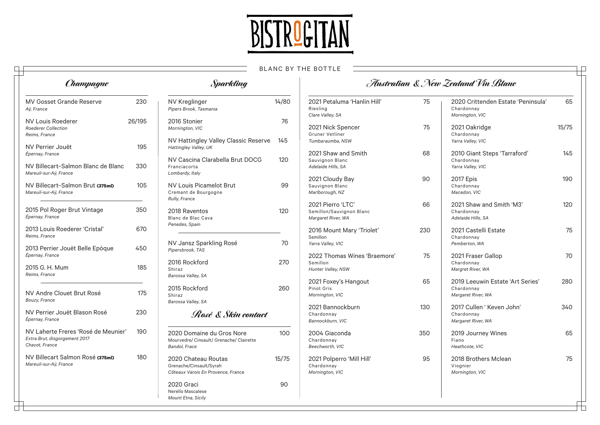

## BLANC BY THE BOTTLE

 $\Box$ 

| ┙<br>Champagne                                                                         |        | <b><i>Sparkling</i></b>                                                                |       |                                                                     |     | Australian & New Zealand Vin Blanc                                   |       |
|----------------------------------------------------------------------------------------|--------|----------------------------------------------------------------------------------------|-------|---------------------------------------------------------------------|-----|----------------------------------------------------------------------|-------|
| <b>MV Gosset Grande Reserve</b><br>Aÿ, France                                          | 230    | <b>NV Kreglinger</b><br>Pipers Brook, Tasmania                                         | 14/80 | 2021 Petaluma 'Hanlin Hill'<br>Riesling<br>Clare Valley, SA         | 75  | 2020 Crittenden Estate 'Peninsula'<br>Chardonnay<br>Mornington, VIC  | 65    |
| <b>NV Louis Roederer</b><br><b>Roederer Collection</b><br>Reims, France                | 26/195 | 2016 Stonier<br>Mornington, VIC                                                        | 76    | 2021 Nick Spencer<br>Gruner Vetliner                                | 75  | 2021 Oakridge<br>Chardonnay                                          | 15/75 |
| NV Perrier Jouët                                                                       | 195    | NV Hattingley Valley Classic Reserve<br>Hattingley Valley, UK                          | 145   | Tumbaraumba, NSW<br>2021 Shaw and Smith                             | 68  | Yarra Valley, VIC                                                    | 145   |
| Épernay, France<br>NV Billecart-Salmon Blanc de Blanc<br>Mareuil-sur-Aÿ, France        | 330    | NV Cascina Clarabella Brut DOCG<br>Franciacorta<br>Lombardy, Italy                     | 120   | Sauvignon Blanc<br>Adelaide Hills, SA                               |     | 2010 Giant Steps 'Tarraford'<br>Chardonnay<br>Yarra Valley, VIC      |       |
| NV Billecart-Salmon Brut (375ml)<br>Mareuil-sur-Aÿ, France                             | 105    | <b>NV Louis Picamelot Brut</b><br>Cremant de Bourgogne                                 | 99    | 2021 Cloudy Bay<br>Sauvignon Blanc<br>Marlborough, NZ               | 90  | 2017 Epis<br>Chardonnay<br>Macedon, VIC                              | 190   |
| 2015 Pol Roger Brut Vintage<br>Épernay, France                                         | 350    | Rully, France<br>2018 Raventos<br>Blanc de Blac Cava                                   | 120   | 2021 Pierro 'LTC'<br>Semillon/Sauvignon Blanc<br>Margaret River, WA | 66  | 2021 Shaw and Smith 'M3'<br>Chardonnay<br>Adelaide Hills, SA         | 120   |
| 2013 Louis Roederer 'Cristal'<br>Reims, France                                         | 670    | Penedes, Spain                                                                         |       | 2016 Mount Mary 'Triolet'<br>Semillon                               | 230 | 2021 Castelli Estate<br>Chardonnay                                   | 75    |
| 2013 Perrier Jouët Belle Epóque<br>Épernay, France                                     | 450    | NV Jansz Sparkling Rosé<br>Pipersbrook, TAS                                            | 70    | Yarra Valley, VIC<br>2022 Thomas Wines 'Braemore'                   | 75  | Pemberton, WA<br>2021 Fraser Gallop                                  | 70    |
| 2015 G. H. Mum<br>Reims, France                                                        | 185    | 2016 Rockford<br>Shiraz<br>Barossa Valley, SA                                          | 270   | Semillon<br>Hunter Valley, NSW                                      |     | Chardonnay<br>Margret River, WA                                      |       |
| NV Andre Clouet Brut Rosé<br>Bouzy, France                                             | 175    | 2015 Rockford<br>Shiraz<br>Barossa Valley, SA                                          | 260   | 2021 Foxey's Hangout<br>Pinot Gris<br>Mornington, VIC               | 65  | 2019 Leeuwin Estate 'Art Series'<br>Chardonnay<br>Margaret River, WA | 280   |
| NV Perrier Jouët Blason Rosé<br>Épernay, France                                        | 230    | Rosé & Skin contact                                                                    |       | 2021 Bannockburn<br>Chardonnay<br>Bannockburn, VIC                  | 130 | 2017 Cullen ' Keven John'<br>Chardonnay<br>Margaret River, WA        | 340   |
| NV Laherte Freres 'Rosé de Meunier'<br>Extra Brut, disgorgement 2017<br>Chavot, France | 190    | 2020 Domaine du Gros Nore<br>Mourvedre/ Cinsault/ Grenache/ Clairette<br>Bandol, Frace | 100   | 2004 Giaconda<br>Chardonnay<br>Beechworth, VIC                      | 350 | 2019 Journey Wines<br>Fiano<br>Heathcote, VIC                        | 65    |
| NV Billecart Salmon Rosé (375mI)<br>Mareuil-sur-Aÿ, France                             | 180    | 2020 Chateau Routas<br>Grenache/Cinsault/Syrah<br>Côteaux Varois En Provence, France   | 15/75 | 2021 Polperro 'Mill Hill'<br>Chardonnay<br>Mornington, VIC          | 95  | 2018 Brothers Mclean<br>Viognier<br>Mornington, VIC                  | 75    |
|                                                                                        |        | 2020 Graci<br>Nerello Mascalese<br>Mount Etna, Sicily                                  | 90    |                                                                     |     |                                                                      |       |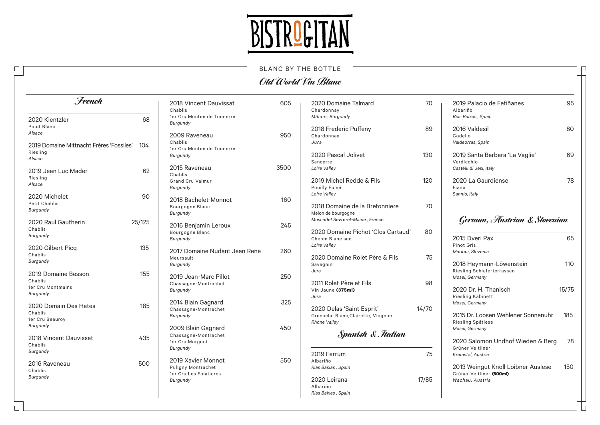

| <b>BLANC BY THE BOTTLE</b> |
|----------------------------|
| Old World Vin Blanc        |

IР

⊤

| French                                              |        | 2018 Vincent Dauvissat<br>Chablis                         | 605  | 2020 Domaine Talmard<br>Chardonnav                                                        | 70    | 2019 Palacio de Fefiñanes<br>Albariño                                   | 95               |
|-----------------------------------------------------|--------|-----------------------------------------------------------|------|-------------------------------------------------------------------------------------------|-------|-------------------------------------------------------------------------|------------------|
| 2020 Kientzler<br>Pinot Blanc                       | 68     | 1er Cru Montee de Tonnerre<br>Burgundy                    |      | Mâcon, Burgundy<br>2018 Frederic Puffeny                                                  | 89    | Rias Baixas, Spain<br>2016 Valdesil                                     | 80               |
| Alsace<br>2019 Domaine Mittnacht Frères 'Fossiles'  | 104    | 2009 Raveneau<br>Chablis                                  | 950  | Chardonnay<br>Jura                                                                        |       | Godello<br>Valdeorras, Spain                                            |                  |
| Riesling<br>Alsace                                  |        | 1er Cru Montee de Tonnerre<br>Burgundy                    |      | 2020 Pascal Jolivet<br>Sancerre                                                           | 130   | 2019 Santa Barbara 'La Vaglie'<br>Verdicchio                            | 69               |
| 2019 Jean Luc Mader<br>Riesling                     | 62     | 2015 Raveneau<br>Chablis                                  | 3500 | Loire Valley                                                                              |       | Castelli di Jesi, Italy                                                 |                  |
| Alsace                                              |        | <b>Grand Cru Valmur</b><br>Burgundy                       |      | 2019 Michel Redde & Fils<br>Pouilly Fumé<br>Loire Valley                                  | 120   | 2020 La Gaurdiense<br>Fiano<br>Sannio, Italy                            | 78               |
| 2020 Michelet<br>Petit Chablis<br>Burgundy          | 90     | 2018 Bachelet-Monnot<br>Bourgogne Blanc<br>Burgundy       | 160  | 2018 Domaine de la Bretonniere<br>Melon de bourgogne                                      | 70    |                                                                         |                  |
| 2020 Raul Gautherin<br>Chablis<br>Burgundy          | 25/125 | 2016 Benjamin Leroux<br>Bourgogne Blanc<br>Burgundy       | 245  | Muscadet Sevre-et-Maine, France<br>2020 Domaine Pichot 'Clos Cartaud'<br>Chenin Blanc sec | 80    | German, Austrian & Slovenian<br>2015 Dveri Pax                          | 65               |
| 2020 Gilbert Picq<br>Chablis<br>Burgundy            | 135    | 2017 Domaine Nudant Jean Rene<br>Meursault                | 260  | Loire Valley<br>2020 Domaine Rolet Père & Fils                                            | 75    | Pinot Gris<br>Maribor, Slovenia                                         |                  |
| 2019 Domaine Besson<br>Chablis                      | 155    | Burgundy<br>2019 Jean-Marc Pillot<br>Chassagne-Montrachet | 250  | Savagnin<br>Jura<br>2011 Rolet Père et Fils                                               | 98    | 2018 Heymann-Löwenstein<br>Riesling Schieferterrassen<br>Mosel, Germany | 110 <sub>1</sub> |
| 1er Cru Montmains<br>Burgundy                       |        | Burgundy                                                  |      | Vin Jaune (375ml)<br>Jura                                                                 |       | 2020 Dr. H. Thanisch<br>Riesling Kabinett                               | 15/75            |
| 2020 Domain Des Hates<br>Chablis<br>1er Cru Beauroy | 185    | 2014 Blain Gagnard<br>Chassagne-Montrachet<br>Burgundy    | 325  | 2020 Delas 'Saint Esprit'<br>Grenache Blanc, Clairette, Viognier                          | 14/70 | Mosel, Germany<br>2015 Dr. Loosen Wehlener Sonnenuhr                    | 185              |
| Burgundy                                            |        | 2009 Blain Gagnard<br>Chassagne-Montrachet                | 450  | <b>Rhone Vallev</b><br>Spanish & Italian                                                  |       | Riesling Spätlese<br>Mosel, Germany                                     |                  |
| 2018 Vincent Dauvissat<br>Chablis<br>Burgundy       | 435    | 1er Cru Morgeot<br>Burgundy                               |      | 2019 Ferrum                                                                               | 75    | 2020 Salomon Undhof Wieden & Berg<br>Grüner Veltliner                   | 78               |
| 2016 Raveneau<br>Chablis                            | 500    | 2019 Xavier Monnot<br>Puligny Montrachet                  | 550  | Albariño<br>Rias Baixas, Spain                                                            |       | Kremstal, Austria<br>2013 Weingut Knoll Loibner Auslese                 | 150              |
| Burgundy                                            |        | 1er Cru Les Folatieres<br>Burgundy                        |      | 2020 Leirana<br>Albariño<br>Rias Baixas, Spain                                            | 17/85 | Grüner Veltliner (500ml)<br>Wachau, Austria                             |                  |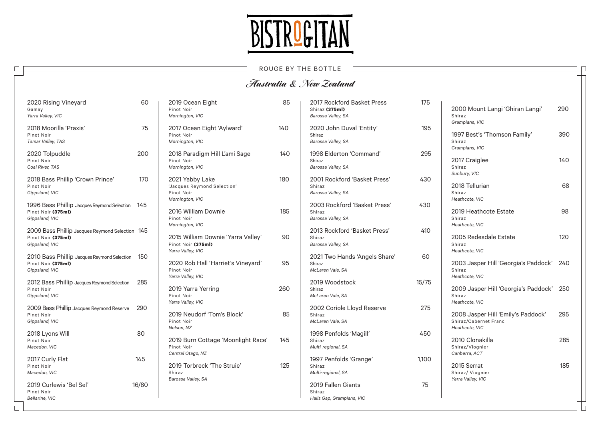

|                                                                                         |                                                                             |     | ROUGE BY THE BOTTLE                                                |       |                                                                               |     |
|-----------------------------------------------------------------------------------------|-----------------------------------------------------------------------------|-----|--------------------------------------------------------------------|-------|-------------------------------------------------------------------------------|-----|
|                                                                                         |                                                                             |     | Australia & New Zealand                                            |       |                                                                               |     |
| 2020 Rising Vineyard<br>60<br>Gamay<br>Yarra Valley, VIC                                | 2019 Ocean Eight<br>Pinot Noir<br>Mornington, VIC                           | 85  | 2017 Rockford Basket Press<br>Shiraz (375ml)<br>Barossa Valley, SA | 175   | 2000 Mount Langi 'Ghiran Langi'<br>Shiraz<br>Grampians, VIC                   | 290 |
| 2018 Moorilla 'Praxis'<br>75<br>Pinot Noir<br>Tamar Valley, TAS                         | 2017 Ocean Eight 'Aylward'<br>Pinot Noir<br>Mornington, VIC                 | 140 | 2020 John Duval 'Entity'<br>Shiraz<br>Barossa Valley, SA           | 195   | 1997 Best's 'Thomson Family'<br>Shiraz                                        | 390 |
| 2020 Tolpuddle<br>200<br>Pinot Noir<br>Coal River, TAS                                  | 2018 Paradigm Hill L'ami Sage<br>Pinot Noir<br>Mornington, VIC              | 140 | 1998 Elderton 'Command'<br>Shiraz<br>Barossa Valley, SA            | 295   | Grampians, VIC<br>2017 Craiglee<br>Shiraz                                     | 140 |
| 2018 Bass Phillip 'Crown Prince'<br>170<br>Pinot Noir<br>Gippsland, VIC                 | 2021 Yabby Lake<br>'Jacques Reymond Selection'<br>Pinot Noir                | 180 | 2001 Rockford 'Basket Press'<br>Shiraz<br>Barossa Valley, SA       | 430   | Sunbury, VIC<br>2018 Tellurian<br>Shiraz                                      | 68  |
| 1996 Bass Phillip Jacques Reymond Selection 145<br>Pinot Noir (375ml)<br>Gippsland, VIC | Mornington, VIC<br>2016 William Downie<br>Pinot Noir                        | 185 | 2003 Rockford 'Basket Press'<br>Shiraz<br>Barossa Valley, SA       | 430   | Heathcote, VIC<br>2019 Heathcote Estate<br>Shiraz                             | 98  |
| 2009 Bass Phillip Jacques Reymond Selection 145<br>Pinot Noir (375ml)<br>Gippsland, VIC | Mornington, VIC<br>2015 William Downie 'Yarra Valley'<br>Pinot Noir (375ml) | 90  | 2013 Rockford 'Basket Press'<br>Shiraz<br>Barossa Valley, SA       | 410   | Heathcote, VIC<br>2005 Redesdale Estate<br>Shiraz                             | 120 |
| 2010 Bass Phillip Jacques Reymond Selection 150<br>Pinot Noir (375ml)<br>Gippsland, VIC | Yarra Valley, VIC<br>2020 Rob Hall 'Harriet's Vineyard'<br>Pinot Noir       | 95  | 2021 Two Hands 'Angels Share'<br>Shiraz<br>McLaren Vale, SA        | 60    | Heathcote, VIC<br>2003 Jasper Hill 'Georgia's Paddock' 240<br>Shiraz          |     |
| 2012 Bass Phillip Jacques Reymond Selection<br>285<br>Pinot Noir<br>Gippsland, VIC      | Yarra Valley, VIC<br>2019 Yarra Yerring<br>Pinot Noir                       | 260 | 2019 Woodstock<br>Shiraz<br>McLaren Vale, SA                       | 15/75 | Heathcote, VIC<br>2009 Jasper Hill 'Georgia's Paddock' 250<br>Shiraz          |     |
| 2009 Bass Phillip Jacques Reymond Reserve<br>290<br>Pinot Noir<br>Gippsland, VIC        | Yarra Valley, VIC<br>2019 Neudorf 'Tom's Block'<br>Pinot Noir               | 85  | 2002 Coriole Lloyd Reserve<br>Shiraz<br>McLaren Vale, SA           | 275   | Heathcote, VIC<br>2008 Jasper Hill 'Emily's Paddock'<br>Shiraz/Cabernet Franc | 295 |
| 2018 Lyons Will<br>80<br>Pinot Noir<br>Macedon, VIC                                     | Nelson, NZ<br>2019 Burn Cottage 'Moonlight Race'<br>Pinot Noir              | 145 | 1998 Penfolds 'Magill'<br>Shiraz<br>Multi-regional, SA             | 450   | Heathcote, VIC<br>2010 Clonakilla<br>Shiraz/Viognier                          | 285 |
| 2017 Curly Flat<br>145<br>Pinot Noir<br>Macedon, VIC                                    | Central Otago, NZ<br>2019 Torbreck 'The Struie'<br>Shiraz                   | 125 | 1997 Penfolds 'Grange'<br>Shiraz<br>Multi-regional, SA             | 1,100 | Canberra, ACT<br>2015 Serrat<br>Shiraz/ Viognier                              | 185 |
| 2019 Curlewis 'Bel Sel'<br>16/80<br>Pinot Noir<br>Bellarine, VIC                        | Barossa Valley, SA                                                          |     | 2019 Fallen Giants<br>Shiraz<br>Halls Gap, Grampians, VIC          | 75    | Yarra Valley, VIC                                                             |     |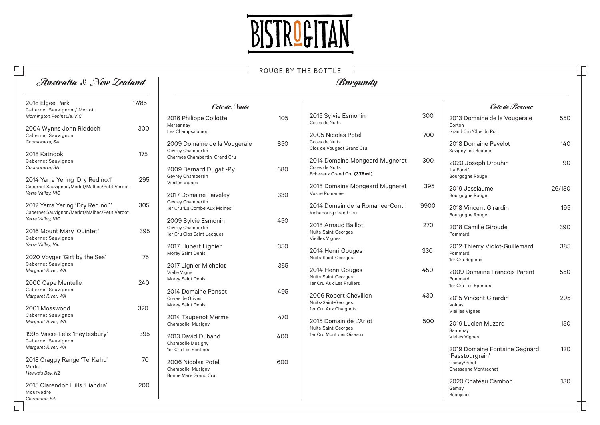

ROUGE BY THE BOTTLE

 $\Box$ 

| Australia & New Zealand                                                                                |       |                                                                                   |     | Burgundy                                                                       |            |                                                                    |        |
|--------------------------------------------------------------------------------------------------------|-------|-----------------------------------------------------------------------------------|-----|--------------------------------------------------------------------------------|------------|--------------------------------------------------------------------|--------|
| 2018 Elgee Park<br>Cabernet Sauvignon / Merlot                                                         | 17/85 | Cote de Nuits                                                                     |     |                                                                                |            | Cote de Beaune                                                     |        |
| Mornington Peninsula, VIC<br>2004 Wynns John Riddoch<br>Cabernet Sauvignon                             | 300   | 2016 Philippe Collotte<br>Marsannay<br>Les Champsalomon                           | 105 | 2015 Sylvie Esmonin<br>Cotes de Nuits<br>2005 Nicolas Potel                    | 300<br>700 | 2013 Domaine de la Vougeraie<br>Corton<br>Grand Cru 'Clos du Roi   | 550    |
| Coonawarra, SA<br>2018 Katnook                                                                         | 175   | 2009 Domaine de la Vougeraie<br>Gevrey Chambertin<br>Charmes Chambertin Grand Cru | 850 | Cotes de Nuits<br>Clos de Vougeot Grand Cru                                    |            | 2018 Domaine Pavelot<br>Savigny-les-Beaune                         | 140    |
| Cabernet Sauvignon<br>Coonawarra, SA<br>2014 Yarra Yering 'Dry Red no.1'                               | 295   | 2009 Bernard Dugat -Py<br>Gevrev Chambertin                                       | 680 | 2014 Domaine Mongeard Mugneret<br>Cotes de Nuits<br>Echezaux Grand Cru (375ml) | 300        | 2020 Joseph Drouhin<br>'La Foret'<br>Bourgogne Rouge               | 90     |
| Cabernet Sauvignon/Merlot/Malbec/Petit Verdot<br>Yarra Valley, VIC                                     |       | Vieilles Vignes<br>2017 Domaine Faiveley<br>Gevrey Chambertin                     | 330 | 2018 Domaine Mongeard Mugneret<br>Vosne Romanée                                | 395        | 2019 Jessiaume<br>Bourgogne Rouge                                  | 26/130 |
| 2012 Yarra Yering 'Dry Red no.1'<br>Cabernet Sauvignon/Merlot/Malbec/Petit Verdot<br>Yarra Valley, VIC | 305   | 1er Cru 'La Combe Aux Moines'<br>2009 Sylvie Esmonin                              | 450 | 2014 Domain de la Romanee-Conti<br>Richebourg Grand Cru                        | 9900       | 2018 Vincent Girardin<br>Bourgogne Rouge                           | 195    |
| 2016 Mount Mary 'Quintet'<br>Cabernet Sauvignon                                                        | 395   | Gevrey Chambertin<br>1er Cru Clos Saint-Jacques                                   |     | 2018 Arnaud Baillot<br>Nuits-Saint-Georges<br>Vieilles Vignes                  | 270        | 2018 Camille Giroude<br>Pommard                                    | 390    |
| Yarra Valley, Vic<br>2020 Voyger 'Girt by the Sea'<br>Cabernet Sauvignon                               | 75    | 2017 Hubert Lignier<br>Morey Saint Denis                                          | 350 | 2014 Henri Gouges<br>Nuits-Saint-Georges                                       | 330        | 2012 Thierry Violot-Guillemard<br>Pommard<br>1er Cru Rugiens       | 385    |
| Margaret River, WA<br>2000 Cape Mentelle                                                               | 240   | 2017 Lignier Michelot<br>Vielle Vigne<br>Morey Saint Denis                        | 355 | 2014 Henri Gouges<br>Nuits-Saint-Georges<br>1er Cru Aux Les Pruliers           | 450        | 2009 Domaine Francois Parent<br>Pommard<br>1er Cru Les Epenots     | 550    |
| Cabernet Sauvignon<br>Margaret River, WA                                                               | 320   | 2014 Domaine Ponsot<br>Cuvee de Grives<br>Morey Saint Denis                       | 495 | 2006 Robert Chevillon<br>Nuits-Saint-Georges                                   | 430        | 2015 Vincent Girardin<br>Volnay                                    | 295    |
| 2001 Mosswood<br>Cabernet Sauvignon<br>Margaret River, WA                                              |       | 2014 Taupenot Merme<br>Chambolle Musigny                                          | 470 | 1er Cru Aux Chaignots<br>2015 Domain de L'Arlot<br>Nuits-Saint-Georges         | 500        | Vieilles Vignes<br>2019 Lucien Muzard                              | 150    |
| 1998 Vasse Felix 'Heytesbury'<br>Cabernet Sauvignon<br>Margaret River, WA                              | 395   | 2013 David Duband<br>Chambolle Musigny<br>1er Cru Les Sentiers                    | 400 | 1er Cru Mont des Oiseaux                                                       |            | Santenay<br><b>Vielles Vignes</b><br>2019 Domaine Fontaine Gagnard | 120    |
| 2018 Craggy Range 'Te Kahu'<br>Merlot<br>Hawke's Bay, NZ                                               | 70    | 2006 Nicolas Potel<br>Chambolle Musigny                                           | 600 |                                                                                |            | 'Passtourgrain'<br>Gamay/Pinot<br>Chassagne Montrachet             |        |
| 2015 Clarendon Hills 'Liandra'<br>Mourvedre<br>Clarendon, SA                                           | 200   | <b>Bonne Mare Grand Cru</b>                                                       |     |                                                                                |            | 2020 Chateau Cambon<br>Gamav<br>Beaujolais                         | 130    |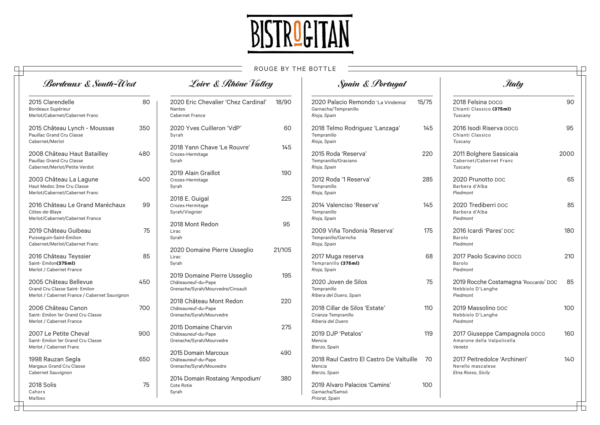

## ROUGE BY THE BOTTLE

 $\Box$ 

| <b>Bordeaux &amp; South-West</b>                                                                         |     | Loire & Rhône Valley                                                                     |        | Spain & Portugal                                                           |       | <b><i>Italy</i></b>                                                     |      |  |
|----------------------------------------------------------------------------------------------------------|-----|------------------------------------------------------------------------------------------|--------|----------------------------------------------------------------------------|-------|-------------------------------------------------------------------------|------|--|
| 2015 Clarendelle<br>Bordeaux Supérieur<br>Merlot/Cabernet/Cabernet Franc                                 | 80  | 2020 Eric Chevalier 'Chez Cardinal'<br>Nantes<br><b>Cabernet France</b>                  | 18/90  | 2020 Palacio Remondo 'La Vindemia'<br>Garnacha/Tempranillo<br>Rioja, Spain | 15/75 | 2018 Felsina DOCG<br>Chianti Classico (375ml)<br>Tuscany                | 90   |  |
| 2015 Château Lynch - Moussas<br><b>Pauillac Grand Cru Classe</b><br>Cabernet/Merlot                      | 350 | 2020 Yves Cuilleron 'VdP'<br>Syrah                                                       | 60     | 2018 Telmo Rodriguez 'Lanzaga'<br>Tempranillo<br>Rioja, Spain              | 145   | 2016 Isodi Riserva DOCG<br>Chianti Classico<br>Tuscany                  | 95   |  |
| 2008 Château Haut Batailley<br>Pauillac Grand Cru Classe<br>Cabernet/Merlot/Petite Verdot                | 480 | 2018 Yann Chave 'Le Rouvre'<br>Crozes-Hermitage<br>Syrah                                 | 145    | 2015 Roda 'Reserva'<br>Tempranillo/Graciano<br>Rioja, Spain                | 220   | 2011 Bolghere Sassicaia<br>Cabernet/Cabernet Franc<br>Tuscany           | 2000 |  |
| 2003 Château La Lagune<br>Haut Medoc 3me Cru Classe<br>Merlot/Cabernet/Cabernet Franc                    | 400 | 2019 Alain Graillot<br>Crozes-Hermitage<br>Syrah                                         | 190    | 2012 Roda '1 Reserva'<br>Tempranillo<br>Rioja, Spain                       | 285   | 2020 Prunotto DOC<br>Barbera d'Alba<br>Piedmont                         | 65   |  |
| 2016 Château Le Grand Maréchaux<br>Côtes-de-Blaye<br>Merlot/Cabernet/Cabernet France                     | 99  | 2018 E. Guigal<br>Crozes Hermitage<br>Syrah/Viognier                                     | 225    | 2014 Valenciso 'Reserva'<br>Tempranillo<br>Rioja, Spain                    | 145   | 2020 Trediberri DOC<br>Barbera d'Alba<br>Piedmont                       | 85   |  |
| 2019 Château Guibeau<br>Puisseguin-Saint-Émilion<br>Cabernet/Merlot/Cabernet Franc                       | 75  | 2018 Mont Redon<br>Lirac<br>Syrah                                                        | 95     | 2009 Viña Tondonia 'Reserva'<br>Tempranillo/Garncha<br>Rioja, Spain        | 175   | 2016 Icardi 'Pares' DOC<br>Barolo<br>Piedmont                           | 180  |  |
| 2016 Château Teyssier<br>Saint-Emilon(375ml)<br>Merlot / Cabernet France                                 | 85  | 2020 Domaine Pierre Usseglio<br>Lirac<br>Syrah                                           | 21/105 | 2017 Muga reserva<br>Tempranillo (375ml)<br>Rioja, Spain                   | 68    | 2017 Paolo Scavino DOCG<br>Barolo<br>Piedmont                           | 210  |  |
| 2005 Château Bellevue<br>Grand Cru Classe Saint- Emilon<br>Merlot / Cabernet France / Cabernet Sauvignon | 450 | 2019 Domaine Pierre Usseglio<br>Châteauneuf-du-Pape<br>Grenache/Syrah/Mourvedre/Cinsault | 195    | 2020 Joven de Silos<br>Tempranillo<br>Ribera del Duero, Spain              | 75    | 2019 Rocche Costamagna 'Roccardo' DOC<br>Nebbiolo D'Langhe<br>Piedmont  | 85   |  |
| 2006 Château Canon<br>Saint-Emilon 1er Grand Cru Classe<br>Merlot / Cabernet France                      | 700 | 2018 Château Mont Redon<br>Châteauneuf-du-Pape<br>Grenache/Syrah/Mourvedre               | 220    | 2018 Cillar de Silos 'Estate'<br>Crianza Tempranillo<br>Riberia del Duero  | 110   | 2019 Massolino DOC<br>Nebbiolo D'Langhe<br>Piedmont                     | 100  |  |
| 2007 Le Petite Cheval<br>Saint- Emilon 1er Grand Cru Classe<br>Merlot / Cabernet Franc                   | 900 | 2015 Domaine Charvin<br>Châteauneuf-du-Pape<br>Grenache/Syrah/Mourvedre                  | 275    | 2019 DJP 'Petalos'<br>Mencia<br>Bierzo, Spain                              | 119   | 2017 Giuseppe Campagnola DOCG<br>Amarone della Valpolicella<br>Veneto   | 160  |  |
| 1998 Rauzan Segla<br>Margaux Grand Cru Classe<br>Cabernet Sauvignon                                      | 650 | 2015 Domain Marcoux<br>Châteauneuf-du-Pape<br>Grenache/Syrah/Mouvedre                    | 490    | 2018 Raul Castro El Castro De Valtuille<br>Mencia<br>Bierzo, Spain         | 70    | 2017 Peitredolce 'Archineri'<br>Nerello mascalese<br>Etna Rosso, Sicily | 140  |  |
| 2018 Solis<br>Cahors<br>Malbec                                                                           | 75  | 2014 Domain Rostaing 'Ampodium'<br>Cote Rotie<br>Syrah                                   | 380    | 2019 Alvaro Palacios 'Camins'<br>Garnacha/Samsó<br>Priorat, Spain          | 100   |                                                                         |      |  |